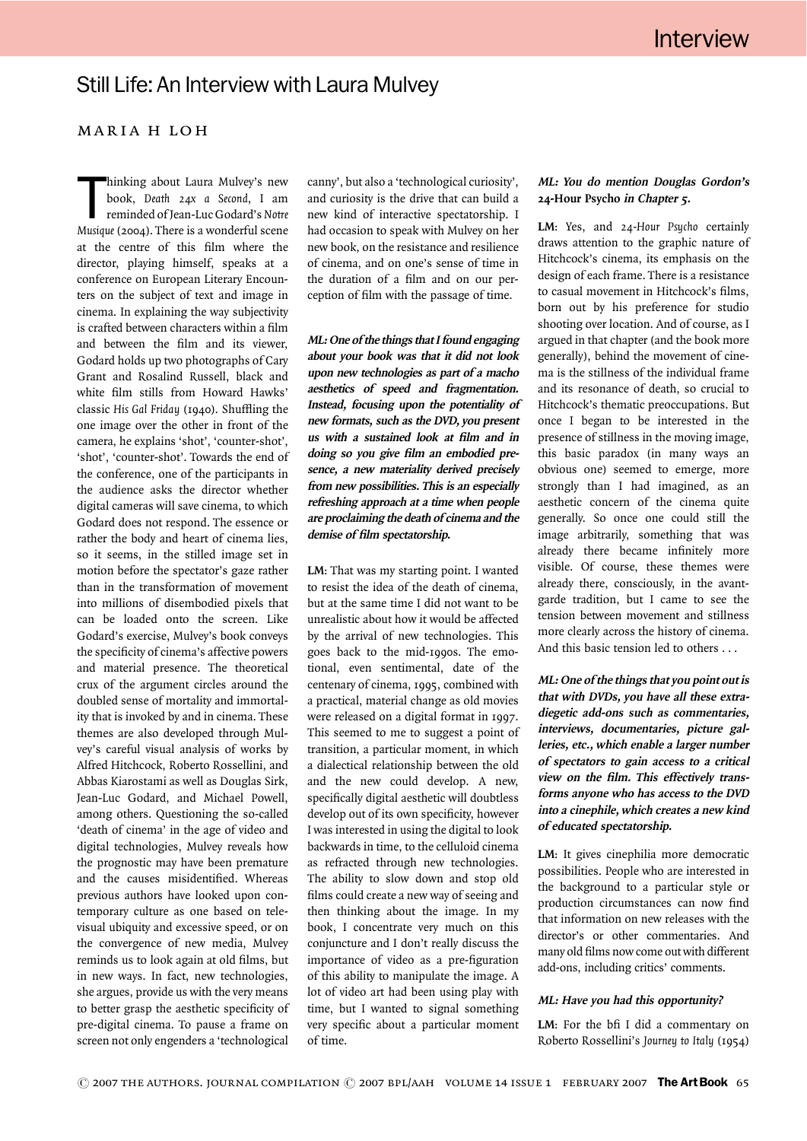# Still Life: An Interview with Laura Mulvey

## MARIA H LOH

hinking about Laura Mulvey's new<br>book, Death 24x a Second, I am<br>reminded of Jean-Luc Godard's Notre<br>Musique (2004). There is a wonderful scene hinking about Laura Mulvey's new book, Death 24x a Second, I am reminded of Jean-Luc Godard's Notre at the centre of this film where the director, playing himself, speaks at a conference on European Literary Encounters on the subject of text and image in cinema. In explaining the way subjectivity is crafted between characters within a film and between the film and its viewer, Godard holds up two photographs of Cary Grant and Rosalind Russell, black and white film stills from Howard Hawks' classic His Gal Friday (1940). Shuffling the one image over the other in front of the camera, he explains 'shot', 'counter-shot', 'shot', 'counter-shot'. Towards the end of the conference, one of the participants in the audience asks the director whether digital cameras will save cinema, to which Godard does not respond. The essence or rather the body and heart of cinema lies, so it seems, in the stilled image set in motion before the spectator's gaze rather than in the transformation of movement into millions of disembodied pixels that can be loaded onto the screen. Like Godard's exercise, Mulvey's book conveys the specificity of cinema's affective powers and material presence. The theoretical crux of the argument circles around the doubled sense of mortality and immortality that is invoked by and in cinema. These themes are also developed through Mulvey's careful visual analysis of works by Alfred Hitchcock, Roberto Rossellini, and Abbas Kiarostami as well as Douglas Sirk, Jean-Luc Godard, and Michael Powell, among others. Questioning the so-called 'death of cinema' in the age of video and digital technologies, Mulvey reveals how the prognostic may have been premature and the causes misidentified. Whereas previous authors have looked upon contemporary culture as one based on televisual ubiquity and excessive speed, or on the convergence of new media, Mulvey reminds us to look again at old films, but in new ways. In fact, new technologies, she argues, provide us with the very means to better grasp the aesthetic specificity of pre-digital cinema. To pause a frame on screen not only engenders a 'technological

canny', but also a 'technological curiosity', and curiosity is the drive that can build a new kind of interactive spectatorship. I had occasion to speak with Mulvey on her new book, on the resistance and resilience of cinema, and on one's sense of time in the duration of a film and on our perception of film with the passage of time.

ML: One of the things that <sup>I</sup> found engaging about your book was that it did not look upon new technologies as part of <sup>a</sup> macho aesthetics of speed and fragmentation. Instead, focusing upon the potentiality of new formats, such as the DVD, you present us with <sup>a</sup> sustained look at film and in doing so you give film an embodied presence, <sup>a</sup> new materiality derived precisely from new possibilities. This is an especially refreshing approach at <sup>a</sup> time when people are proclaiming the death of cinema and the demise of film spectatorship.

LM: That was my starting point. I wanted to resist the idea of the death of cinema, but at the same time I did not want to be unrealistic about how it would be affected by the arrival of new technologies. This goes back to the mid-1990s. The emotional, even sentimental, date of the centenary of cinema, 1995, combined with a practical, material change as old movies were released on a digital format in 1997. This seemed to me to suggest a point of transition, a particular moment, in which a dialectical relationship between the old and the new could develop. A new, specifically digital aesthetic will doubtless develop out of its own specificity, however I was interested in using the digital to look backwards in time, to the celluloid cinema as refracted through new technologies. The ability to slow down and stop old films could create a new way of seeing and then thinking about the image. In my book, I concentrate very much on this conjuncture and I don't really discuss the importance of video as a pre-figuration of this ability to manipulate the image. A lot of video art had been using play with time, but I wanted to signal something very specific about a particular moment of time.

#### ML: You do mention Douglas Gordon's 24-Hour Psycho in Chapter <sup>5</sup>.

LM: Yes, and 24-Hour Psycho certainly draws attention to the graphic nature of Hitchcock's cinema, its emphasis on the design of each frame. There is a resistance to casual movement in Hitchcock's films, born out by his preference for studio shooting over location. And of course, as I argued in that chapter (and the book more generally), behind the movement of cinema is the stillness of the individual frame and its resonance of death, so crucial to Hitchcock's thematic preoccupations. But once I began to be interested in the presence of stillness in the moving image, this basic paradox (in many ways an obvious one) seemed to emerge, more strongly than I had imagined, as an aesthetic concern of the cinema quite generally. So once one could still the image arbitrarily, something that was already there became infinitely more visible. Of course, these themes were already there, consciously, in the avantgarde tradition, but I came to see the tension between movement and stillness more clearly across the history of cinema. And this basic tension led to others . . .

ML: One of the things that you point out is that with DVDs, you have all these extradiegetic add-ons such as commentaries, interviews, documentaries, picture galleries, etc., which enable <sup>a</sup> larger number of spectators to gain access to <sup>a</sup> critical view on the film. This effectively transforms anyone who has access to the DVD into <sup>a</sup> cinephile, which creates <sup>a</sup> new kind of educated spectatorship.

LM: It gives cinephilia more democratic possibilities. People who are interested in the background to a particular style or production circumstances can now find that information on new releases with the director's or other commentaries. And many old films now come out with different add-ons, including critics' comments.

#### ML: Have you had this opportunity?

LM: For the bfi I did a commentary on Roberto Rossellini's Journey to Italy (1954)